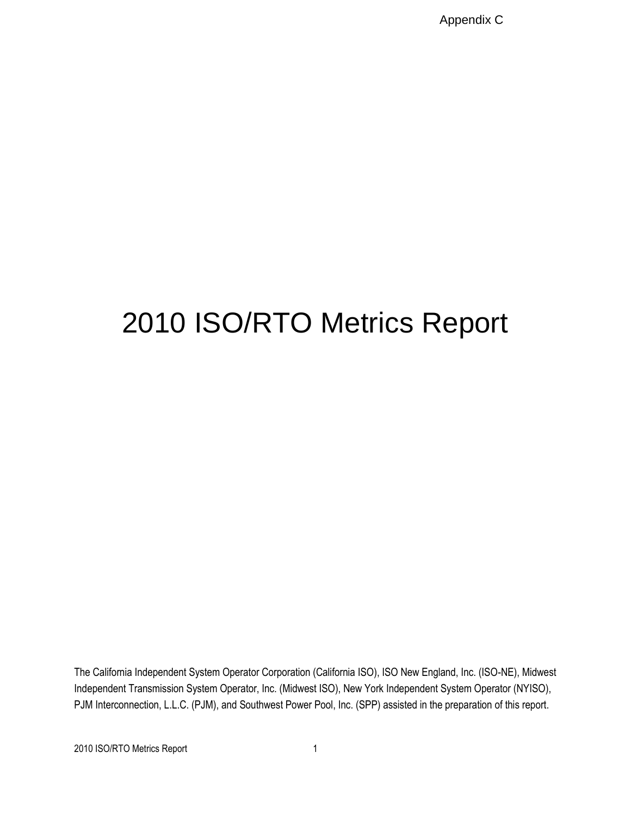Appendix C

# 2010 ISO/RTO Metrics Report

The California Independent System Operator Corporation (California ISO), ISO New England, Inc. (ISO-NE), Midwest Independent Transmission System Operator, Inc. (Midwest ISO), New York Independent System Operator (NYISO), PJM Interconnection, L.L.C. (PJM), and Southwest Power Pool, Inc. (SPP) assisted in the preparation of this report.

2010 ISO/RTO Metrics Report 1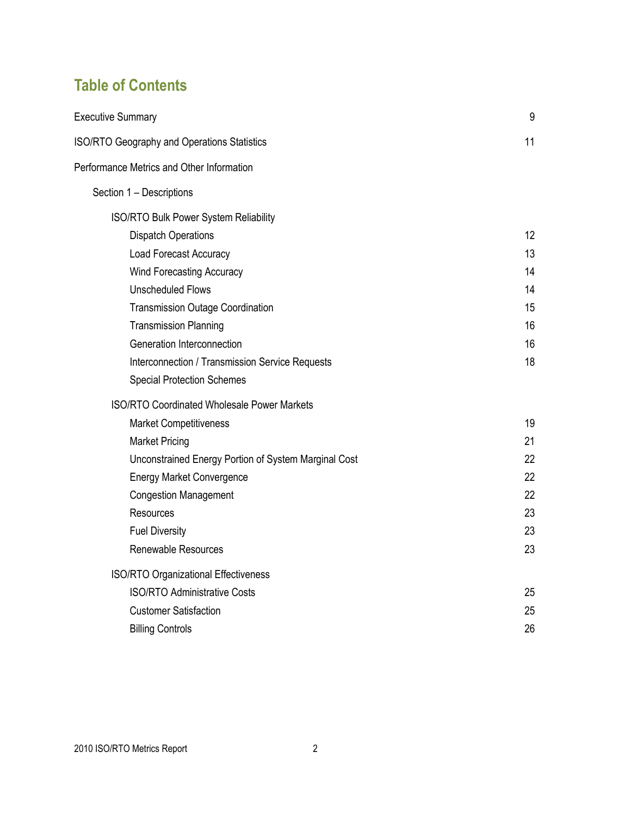# **Table of Contents**

| <b>Executive Summary</b>                             | 9  |
|------------------------------------------------------|----|
| ISO/RTO Geography and Operations Statistics          | 11 |
| Performance Metrics and Other Information            |    |
| Section 1 - Descriptions                             |    |
| ISO/RTO Bulk Power System Reliability                |    |
| <b>Dispatch Operations</b>                           | 12 |
| Load Forecast Accuracy                               | 13 |
| <b>Wind Forecasting Accuracy</b>                     | 14 |
| <b>Unscheduled Flows</b>                             | 14 |
| <b>Transmission Outage Coordination</b>              | 15 |
| <b>Transmission Planning</b>                         | 16 |
| Generation Interconnection                           | 16 |
| Interconnection / Transmission Service Requests      | 18 |
| <b>Special Protection Schemes</b>                    |    |
| <b>ISO/RTO Coordinated Wholesale Power Markets</b>   |    |
| <b>Market Competitiveness</b>                        | 19 |
| <b>Market Pricing</b>                                | 21 |
| Unconstrained Energy Portion of System Marginal Cost | 22 |
| <b>Energy Market Convergence</b>                     | 22 |
| <b>Congestion Management</b>                         | 22 |
| Resources                                            | 23 |
| <b>Fuel Diversity</b>                                | 23 |
| <b>Renewable Resources</b>                           | 23 |
| <b>ISO/RTO Organizational Effectiveness</b>          |    |
| <b>ISO/RTO Administrative Costs</b>                  | 25 |
| <b>Customer Satisfaction</b>                         | 25 |
| <b>Billing Controls</b>                              | 26 |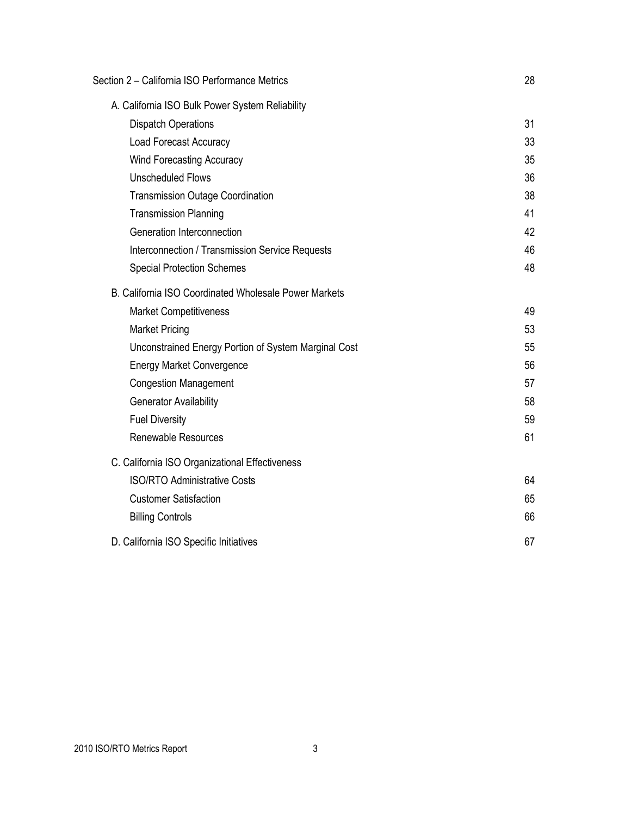| Section 2 - California ISO Performance Metrics        | 28 |
|-------------------------------------------------------|----|
| A. California ISO Bulk Power System Reliability       |    |
| <b>Dispatch Operations</b>                            | 31 |
| <b>Load Forecast Accuracy</b>                         | 33 |
| <b>Wind Forecasting Accuracy</b>                      | 35 |
| <b>Unscheduled Flows</b>                              | 36 |
| <b>Transmission Outage Coordination</b>               | 38 |
| <b>Transmission Planning</b>                          | 41 |
| Generation Interconnection                            | 42 |
| Interconnection / Transmission Service Requests       | 46 |
| <b>Special Protection Schemes</b>                     | 48 |
| B. California ISO Coordinated Wholesale Power Markets |    |
| <b>Market Competitiveness</b>                         | 49 |
| <b>Market Pricing</b>                                 | 53 |
| Unconstrained Energy Portion of System Marginal Cost  | 55 |
| <b>Energy Market Convergence</b>                      | 56 |
| <b>Congestion Management</b>                          | 57 |
| <b>Generator Availability</b>                         | 58 |
| <b>Fuel Diversity</b>                                 | 59 |
| <b>Renewable Resources</b>                            | 61 |
| C. California ISO Organizational Effectiveness        |    |
| <b>ISO/RTO Administrative Costs</b>                   | 64 |
| <b>Customer Satisfaction</b>                          | 65 |
| <b>Billing Controls</b>                               | 66 |
| D. California ISO Specific Initiatives                | 67 |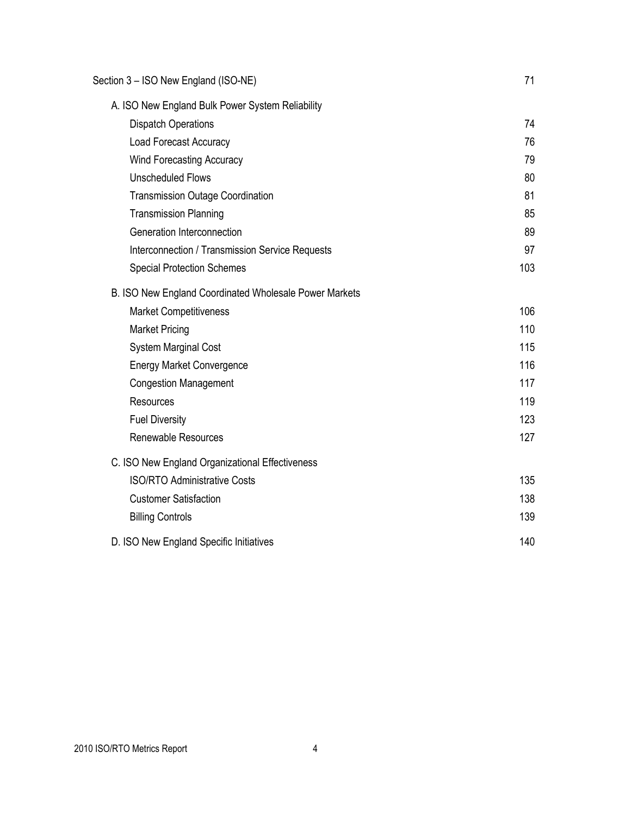| Section 3 - ISO New England (ISO-NE)                   | 71  |
|--------------------------------------------------------|-----|
| A. ISO New England Bulk Power System Reliability       |     |
| <b>Dispatch Operations</b>                             | 74  |
| <b>Load Forecast Accuracy</b>                          | 76  |
| <b>Wind Forecasting Accuracy</b>                       | 79  |
| <b>Unscheduled Flows</b>                               | 80  |
| <b>Transmission Outage Coordination</b>                | 81  |
| <b>Transmission Planning</b>                           | 85  |
| Generation Interconnection                             | 89  |
| Interconnection / Transmission Service Requests        | 97  |
| <b>Special Protection Schemes</b>                      | 103 |
| B. ISO New England Coordinated Wholesale Power Markets |     |
| <b>Market Competitiveness</b>                          | 106 |
| <b>Market Pricing</b>                                  | 110 |
| <b>System Marginal Cost</b>                            | 115 |
| <b>Energy Market Convergence</b>                       | 116 |
| <b>Congestion Management</b>                           | 117 |
| <b>Resources</b>                                       | 119 |
| <b>Fuel Diversity</b>                                  | 123 |
| <b>Renewable Resources</b>                             | 127 |
| C. ISO New England Organizational Effectiveness        |     |
| <b>ISO/RTO Administrative Costs</b>                    | 135 |
| <b>Customer Satisfaction</b>                           | 138 |
| <b>Billing Controls</b>                                | 139 |
| D. ISO New England Specific Initiatives                | 140 |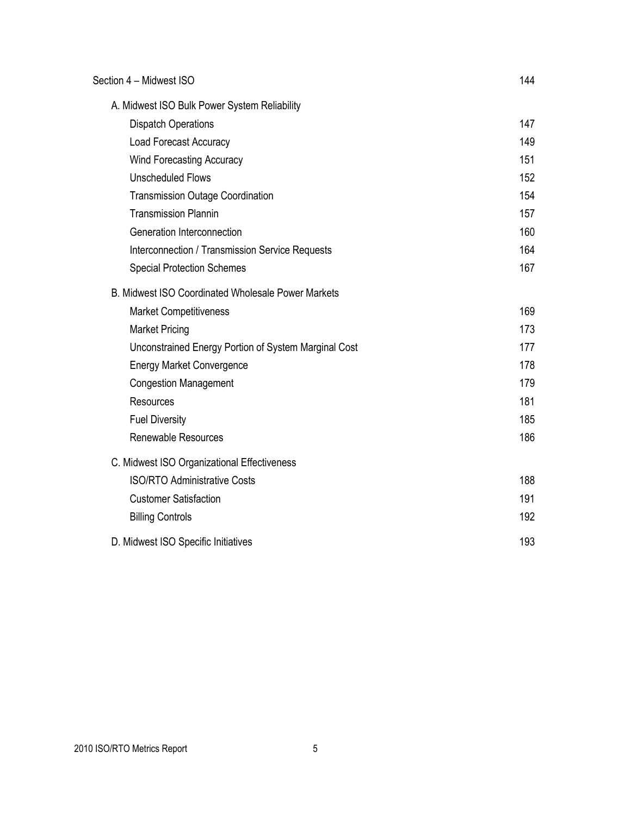| Section 4 - Midwest ISO                              | 144 |
|------------------------------------------------------|-----|
| A. Midwest ISO Bulk Power System Reliability         |     |
| <b>Dispatch Operations</b>                           | 147 |
| <b>Load Forecast Accuracy</b>                        | 149 |
| <b>Wind Forecasting Accuracy</b>                     | 151 |
| <b>Unscheduled Flows</b>                             | 152 |
| <b>Transmission Outage Coordination</b>              | 154 |
| <b>Transmission Plannin</b>                          | 157 |
| Generation Interconnection                           | 160 |
| Interconnection / Transmission Service Requests      | 164 |
| <b>Special Protection Schemes</b>                    | 167 |
| B. Midwest ISO Coordinated Wholesale Power Markets   |     |
| <b>Market Competitiveness</b>                        | 169 |
| <b>Market Pricing</b>                                | 173 |
| Unconstrained Energy Portion of System Marginal Cost | 177 |
| <b>Energy Market Convergence</b>                     | 178 |
| <b>Congestion Management</b>                         | 179 |
| <b>Resources</b>                                     | 181 |
| <b>Fuel Diversity</b>                                | 185 |
| <b>Renewable Resources</b>                           | 186 |
| C. Midwest ISO Organizational Effectiveness          |     |
| <b>ISO/RTO Administrative Costs</b>                  | 188 |
| <b>Customer Satisfaction</b>                         | 191 |
| <b>Billing Controls</b>                              | 192 |
| D. Midwest ISO Specific Initiatives                  | 193 |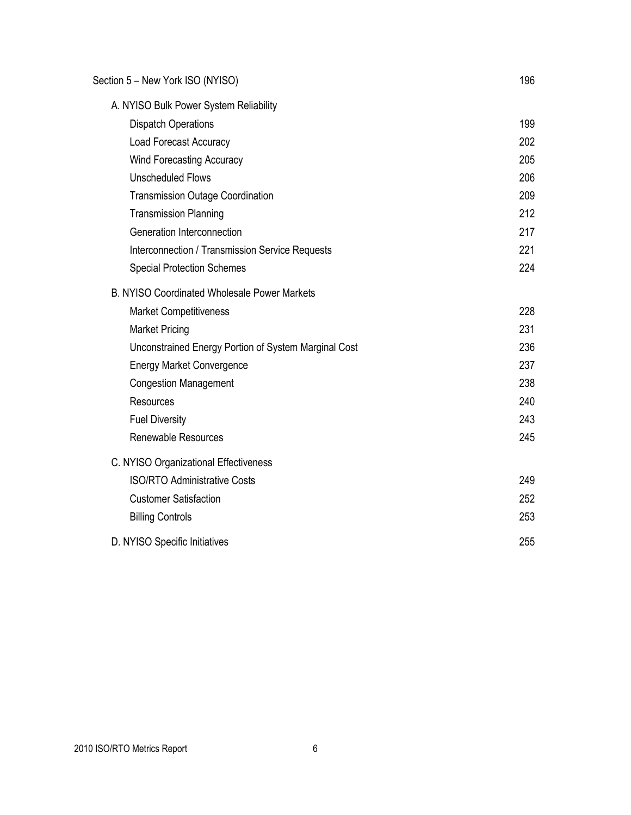| Section 5 - New York ISO (NYISO)                     | 196 |
|------------------------------------------------------|-----|
| A. NYISO Bulk Power System Reliability               |     |
| <b>Dispatch Operations</b>                           | 199 |
| <b>Load Forecast Accuracy</b>                        | 202 |
| <b>Wind Forecasting Accuracy</b>                     | 205 |
| <b>Unscheduled Flows</b>                             | 206 |
| <b>Transmission Outage Coordination</b>              | 209 |
| <b>Transmission Planning</b>                         | 212 |
| Generation Interconnection                           | 217 |
| Interconnection / Transmission Service Requests      | 221 |
| <b>Special Protection Schemes</b>                    | 224 |
| <b>B. NYISO Coordinated Wholesale Power Markets</b>  |     |
| <b>Market Competitiveness</b>                        | 228 |
| <b>Market Pricing</b>                                | 231 |
| Unconstrained Energy Portion of System Marginal Cost | 236 |
| <b>Energy Market Convergence</b>                     | 237 |
| <b>Congestion Management</b>                         | 238 |
| <b>Resources</b>                                     | 240 |
| <b>Fuel Diversity</b>                                | 243 |
| <b>Renewable Resources</b>                           | 245 |
| C. NYISO Organizational Effectiveness                |     |
| <b>ISO/RTO Administrative Costs</b>                  | 249 |
| <b>Customer Satisfaction</b>                         | 252 |
| <b>Billing Controls</b>                              | 253 |
| D. NYISO Specific Initiatives                        | 255 |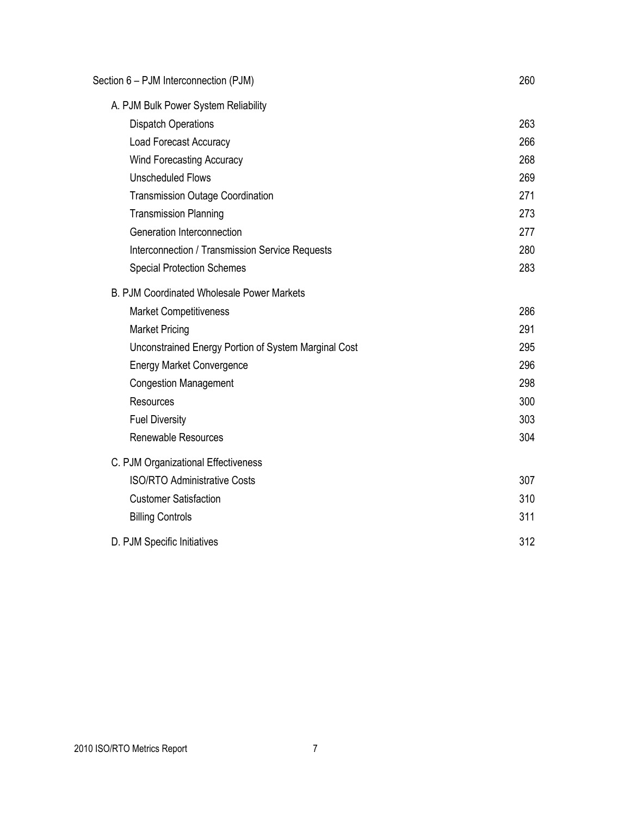| Section 6 - PJM Interconnection (PJM)                | 260 |
|------------------------------------------------------|-----|
| A. PJM Bulk Power System Reliability                 |     |
| <b>Dispatch Operations</b>                           | 263 |
| <b>Load Forecast Accuracy</b>                        | 266 |
| <b>Wind Forecasting Accuracy</b>                     | 268 |
| <b>Unscheduled Flows</b>                             | 269 |
| <b>Transmission Outage Coordination</b>              | 271 |
| <b>Transmission Planning</b>                         | 273 |
| Generation Interconnection                           | 277 |
| Interconnection / Transmission Service Requests      | 280 |
| <b>Special Protection Schemes</b>                    | 283 |
| B. PJM Coordinated Wholesale Power Markets           |     |
| <b>Market Competitiveness</b>                        | 286 |
| <b>Market Pricing</b>                                | 291 |
| Unconstrained Energy Portion of System Marginal Cost | 295 |
| <b>Energy Market Convergence</b>                     | 296 |
| <b>Congestion Management</b>                         | 298 |
| Resources                                            | 300 |
| <b>Fuel Diversity</b>                                | 303 |
| <b>Renewable Resources</b>                           | 304 |
| C. PJM Organizational Effectiveness                  |     |
| <b>ISO/RTO Administrative Costs</b>                  | 307 |
| <b>Customer Satisfaction</b>                         | 310 |
| <b>Billing Controls</b>                              | 311 |
| D. PJM Specific Initiatives                          | 312 |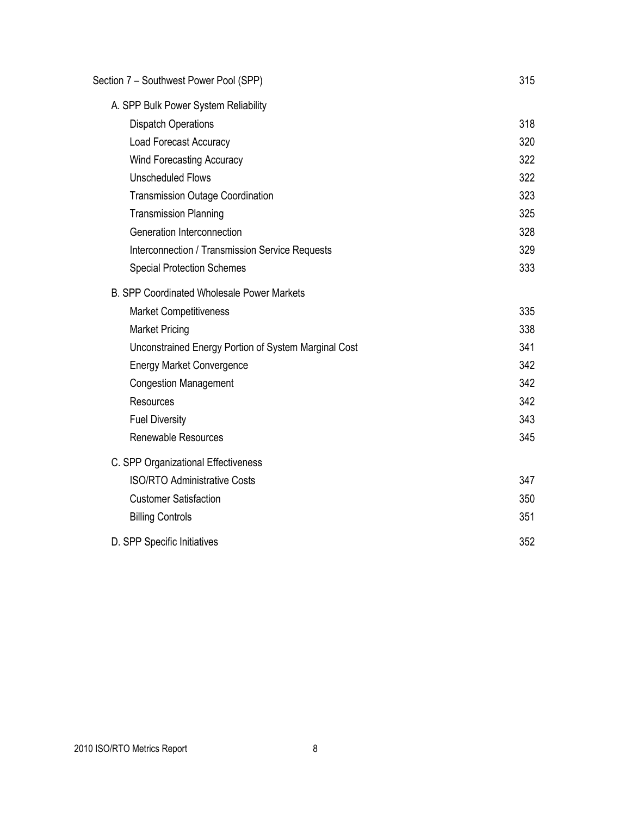| Section 7 - Southwest Power Pool (SPP)               | 315 |
|------------------------------------------------------|-----|
| A. SPP Bulk Power System Reliability                 |     |
| <b>Dispatch Operations</b>                           | 318 |
| <b>Load Forecast Accuracy</b>                        | 320 |
| <b>Wind Forecasting Accuracy</b>                     | 322 |
| <b>Unscheduled Flows</b>                             | 322 |
| <b>Transmission Outage Coordination</b>              | 323 |
| <b>Transmission Planning</b>                         | 325 |
| Generation Interconnection                           | 328 |
| Interconnection / Transmission Service Requests      | 329 |
| <b>Special Protection Schemes</b>                    | 333 |
| <b>B. SPP Coordinated Wholesale Power Markets</b>    |     |
| <b>Market Competitiveness</b>                        | 335 |
| <b>Market Pricing</b>                                | 338 |
| Unconstrained Energy Portion of System Marginal Cost | 341 |
| <b>Energy Market Convergence</b>                     | 342 |
| <b>Congestion Management</b>                         | 342 |
| <b>Resources</b>                                     | 342 |
| <b>Fuel Diversity</b>                                | 343 |
| <b>Renewable Resources</b>                           | 345 |
| C. SPP Organizational Effectiveness                  |     |
| <b>ISO/RTO Administrative Costs</b>                  | 347 |
| <b>Customer Satisfaction</b>                         | 350 |
| <b>Billing Controls</b>                              | 351 |
| D. SPP Specific Initiatives                          | 352 |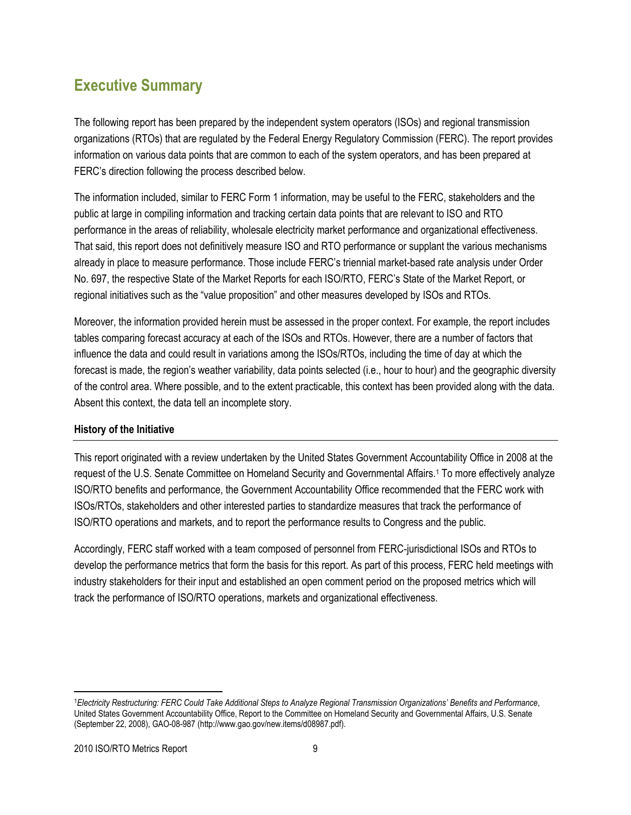# **Executive Summary**

The following report has been prepared by the independent system operators (ISOs) and regional transmission organizations (RTOs) that are regulated by the Federal Energy Regulatory Commission (FERC). The report provides information on various data points that are common to each of the system operators, and has been prepared at FERC's direction following the process described below.

The information included, similar to FERC Form 1 information, may be useful to the FERC, stakeholders and the public at large in compiling information and tracking certain data points that are relevant to ISO and RTO performance in the areas of reliability, wholesale electricity market performance and organizational effectiveness. That said, this report does not definitively measure ISO and RTO performance or supplant the various mechanisms already in place to measure performance. Those include FERC's triennial market-based rate analysis under Order No. 697, the respective State of the Market Reports for each ISO/RTO, FERC's State of the Market Report, or regional initiatives such as the "value proposition" and other measures developed by ISOs and RTOs.

Moreover, the information provided herein must be assessed in the proper context. For example, the report includes tables comparing forecast accuracy at each of the ISOs and RTOs. However, there are a number of factors that influence the data and could result in variations among the ISOs/RTOs, including the time of day at which the forecast is made, the region's weather variability, data points selected (i.e., hour to hour) and the geographic diversity of the control area. Where possible, and to the extent practicable, this context has been provided along with the data. Absent this context, the data tell an incomplete story.

#### **History of the Initiative**

This report originated with a review undertaken by the United States Government Accountability Office in 2008 at the request of the U.S. Senate Committee on Homeland Security and Governmental Affairs.<sup>1</sup> To more effectively analyze ISO/RTO benefits and performance, the Government Accountability Office recommended that the FERC work with ISOs/RTOs, stakeholders and other interested parties to standardize measures that track the performance of ISO/RTO operations and markets, and to report the performance results to Congress and the public.

Accordingly, FERC staff worked with a team composed of personnel from FERC-jurisdictional ISOs and RTOs to develop the performance metrics that form the basis for this report. As part of this process, FERC held meetings with industry stakeholders for their input and established an open comment period on the proposed metrics which will track the performance of ISO/RTO operations, markets and organizational effectiveness.

l

<sup>1</sup>*Electricity Restructuring: FERC Could Take Additional Steps to Analyze Regional Transmission Organizations" Benefits and Performance*, United States Government Accountability Office, Report to the Committee on Homeland Security and Governmental Affairs, U.S. Senate (September 22, 2008), GAO-08-987 [\(http://www.gao.gov/new.items/d08987.pdf\).](http://www.gao.gov/new.items/d08987.pdf)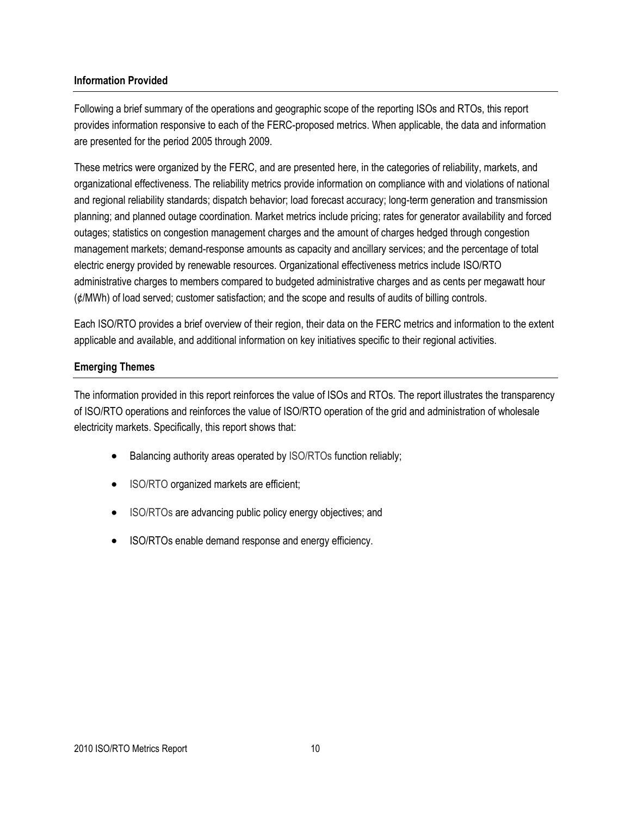#### **Information Provided**

Following a brief summary of the operations and geographic scope of the reporting ISOs and RTOs, this report provides information responsive to each of the FERC-proposed metrics. When applicable, the data and information are presented for the period 2005 through 2009.

These metrics were organized by the FERC, and are presented here, in the categories of reliability, markets, and organizational effectiveness. The reliability metrics provide information on compliance with and violations of national and regional reliability standards; dispatch behavior; load forecast accuracy; long-term generation and transmission planning; and planned outage coordination. Market metrics include pricing; rates for generator availability and forced outages; statistics on congestion management charges and the amount of charges hedged through congestion management markets; demand-response amounts as capacity and ancillary services; and the percentage of total electric energy provided by renewable resources. Organizational effectiveness metrics include ISO/RTO administrative charges to members compared to budgeted administrative charges and as cents per megawatt hour (¢/MWh) of load served; customer satisfaction; and the scope and results of audits of billing controls.

Each ISO/RTO provides a brief overview of their region, their data on the FERC metrics and information to the extent applicable and available, and additional information on key initiatives specific to their regional activities.

#### **Emerging Themes**

The information provided in this report reinforces the value of ISOs and RTOs. The report illustrates the transparency of ISO/RTO operations and reinforces the value of ISO/RTO operation of the grid and administration of wholesale electricity markets. Specifically, this report shows that:

- Balancing authority areas operated by ISO/RTOs function reliably;
- ISO/RTO organized markets are efficient;
- ISO/RTOs are advancing public policy energy objectives; and
- ISO/RTOs enable demand response and energy efficiency.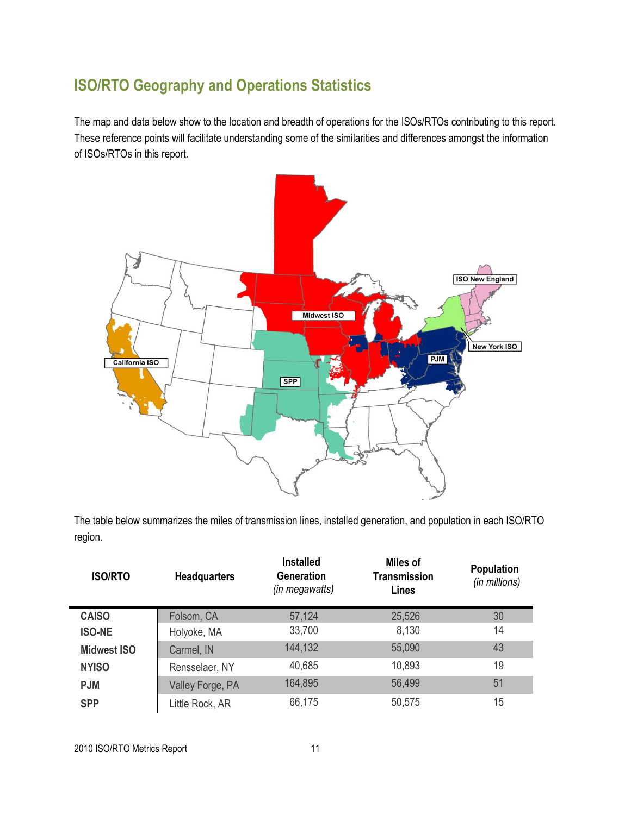# **ISO/RTO Geography and Operations Statistics**

The map and data below show to the location and breadth of operations for the ISOs/RTOs contributing to this report. These reference points will facilitate understanding some of the similarities and differences amongst the information of ISOs/RTOs in this report.



The table below summarizes the miles of transmission lines, installed generation, and population in each ISO/RTO region.

| <b>ISO/RTO</b>     | <b>Headquarters</b> | <b>Installed</b><br><b>Generation</b><br>(in megawatts) | <b>Miles of</b><br><b>Transmission</b><br><b>Lines</b> | <b>Population</b><br>(in millions) |
|--------------------|---------------------|---------------------------------------------------------|--------------------------------------------------------|------------------------------------|
| <b>CAISO</b>       | Folsom, CA          | 57,124                                                  | 25,526                                                 | 30                                 |
| <b>ISO-NE</b>      | Holyoke, MA         | 33,700                                                  | 8,130                                                  | 14                                 |
| <b>Midwest ISO</b> | Carmel, IN          | 144,132                                                 | 55,090                                                 | 43                                 |
| <b>NYISO</b>       | Rensselaer, NY      | 40,685                                                  | 10,893                                                 | 19                                 |
| <b>PJM</b>         | Valley Forge, PA    | 164,895                                                 | 56,499                                                 | 51                                 |
| <b>SPP</b>         | Little Rock, AR     | 66,175                                                  | 50,575                                                 | 15                                 |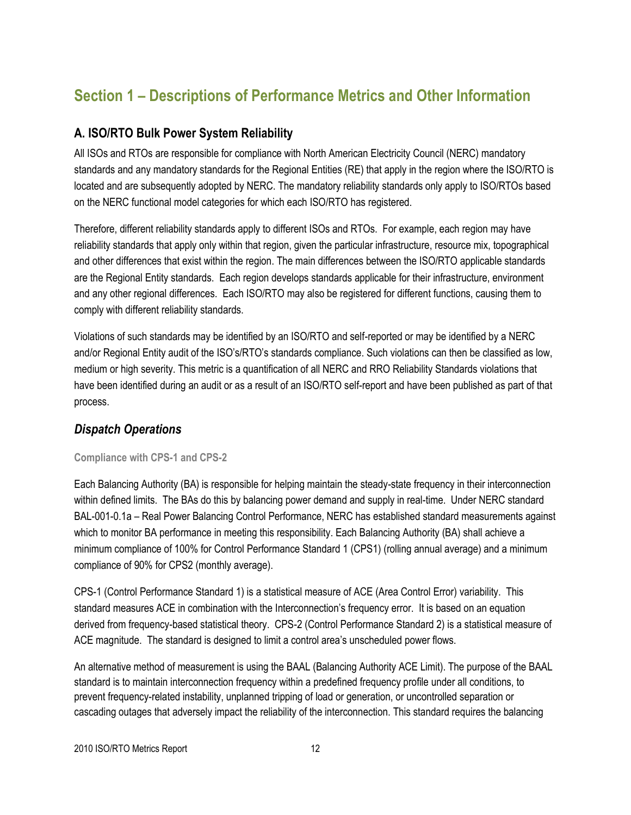# **Section 1 – Descriptions of Performance Metrics and Other Information**

#### **A. ISO/RTO Bulk Power System Reliability**

All ISOs and RTOs are responsible for compliance with North American Electricity Council (NERC) mandatory standards and any mandatory standards for the Regional Entities (RE) that apply in the region where the ISO/RTO is located and are subsequently adopted by NERC. The mandatory reliability standards only apply to ISO/RTOs based on the NERC functional model categories for which each ISO/RTO has registered.

Therefore, different reliability standards apply to different ISOs and RTOs. For example, each region may have reliability standards that apply only within that region, given the particular infrastructure, resource mix, topographical and other differences that exist within the region. The main differences between the ISO/RTO applicable standards are the Regional Entity standards. Each region develops standards applicable for their infrastructure, environment and any other regional differences. Each ISO/RTO may also be registered for different functions, causing them to comply with different reliability standards.

Violations of such standards may be identified by an ISO/RTO and self-reported or may be identified by a NERC and/or Regional Entity audit of the ISO's/RTO's standards compliance. Such violations can then be classified as low, medium or high severity. This metric is a quantification of all NERC and RRO Reliability Standards violations that have been identified during an audit or as a result of an ISO/RTO self-report and have been published as part of that process.

### *Dispatch Operations*

#### **Compliance with CPS-1 and CPS-2**

Each Balancing Authority (BA) is responsible for helping maintain the steady-state frequency in their interconnection within defined limits. The BAs do this by balancing power demand and supply in real-time. Under NERC standard BAL-001-0.1a – Real Power Balancing Control Performance, NERC has established standard measurements against which to monitor BA performance in meeting this responsibility. Each Balancing Authority (BA) shall achieve a minimum compliance of 100% for Control Performance Standard 1 (CPS1) (rolling annual average) and a minimum compliance of 90% for CPS2 (monthly average).

CPS-1 (Control Performance Standard 1) is a statistical measure of ACE (Area Control Error) variability. This standard measures ACE in combination with the Interconnection's frequency error. It is based on an equation derived from frequency-based statistical theory. CPS-2 (Control Performance Standard 2) is a statistical measure of ACE magnitude. The standard is designed to limit a control area's unscheduled power flows.

An alternative method of measurement is using the BAAL (Balancing Authority ACE Limit). The purpose of the BAAL standard is to maintain interconnection frequency within a predefined frequency profile under all conditions, to prevent frequency-related instability, unplanned tripping of load or generation, or uncontrolled separation or cascading outages that adversely impact the reliability of the interconnection. This standard requires the balancing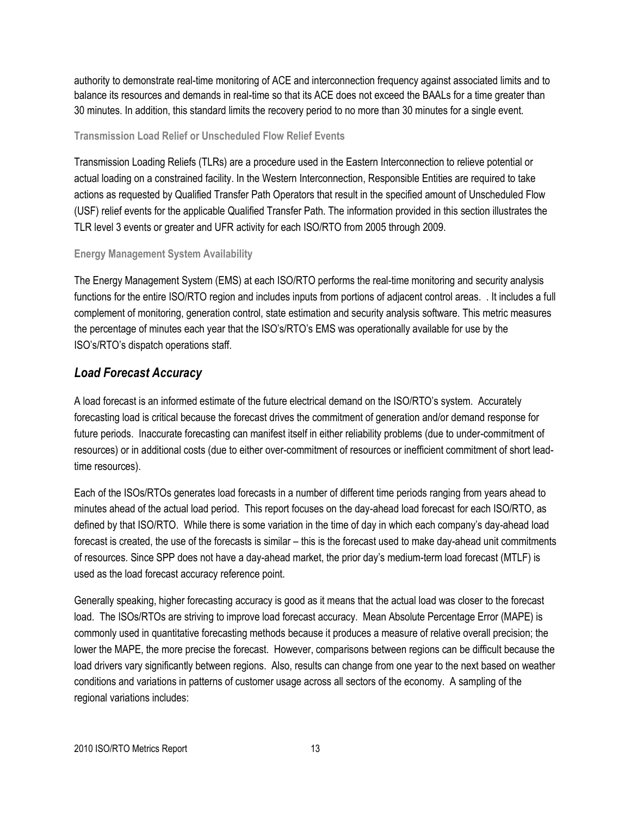authority to demonstrate real-time monitoring of ACE and interconnection frequency against associated limits and to balance its resources and demands in real-time so that its ACE does not exceed the BAALs for a time greater than 30 minutes. In addition, this standard limits the recovery period to no more than 30 minutes for a single event.

#### **Transmission Load Relief or Unscheduled Flow Relief Events**

Transmission Loading Reliefs (TLRs) are a procedure used in the Eastern Interconnection to relieve potential or actual loading on a constrained facility. In the Western Interconnection, Responsible Entities are required to take actions as requested by Qualified Transfer Path Operators that result in the specified amount of Unscheduled Flow (USF) relief events for the applicable Qualified Transfer Path. The information provided in this section illustrates the TLR level 3 events or greater and UFR activity for each ISO/RTO from 2005 through 2009.

#### **Energy Management System Availability**

The Energy Management System (EMS) at each ISO/RTO performs the real-time monitoring and security analysis functions for the entire ISO/RTO region and includes inputs from portions of adjacent control areas. . It includes a full complement of monitoring, generation control, state estimation and security analysis software. This metric measures the percentage of minutes each year that the ISO's/RTO's EMS was operationally available for use by the ISO's/RTO's dispatch operations staff.

# *Load Forecast Accuracy*

A load forecast is an informed estimate of the future electrical demand on the ISO/RTO's system. Accurately forecasting load is critical because the forecast drives the commitment of generation and/or demand response for future periods. Inaccurate forecasting can manifest itself in either reliability problems (due to under-commitment of resources) or in additional costs (due to either over-commitment of resources or inefficient commitment of short leadtime resources).

Each of the ISOs/RTOs generates load forecasts in a number of different time periods ranging from years ahead to minutes ahead of the actual load period. This report focuses on the day-ahead load forecast for each ISO/RTO, as defined by that ISO/RTO. While there is some variation in the time of day in which each company's day-ahead load forecast is created, the use of the forecasts is similar – this is the forecast used to make day-ahead unit commitments of resources. Since SPP does not have a day-ahead market, the prior day's medium-term load forecast (MTLF) is used as the load forecast accuracy reference point.

Generally speaking, higher forecasting accuracy is good as it means that the actual load was closer to the forecast load. The ISOs/RTOs are striving to improve load forecast accuracy. Mean Absolute Percentage Error (MAPE) is commonly used in quantitative forecasting methods because it produces a measure of relative overall precision; the lower the MAPE, the more precise the forecast. However, comparisons between regions can be difficult because the load drivers vary significantly between regions. Also, results can change from one year to the next based on weather conditions and variations in patterns of customer usage across all sectors of the economy. A sampling of the regional variations includes: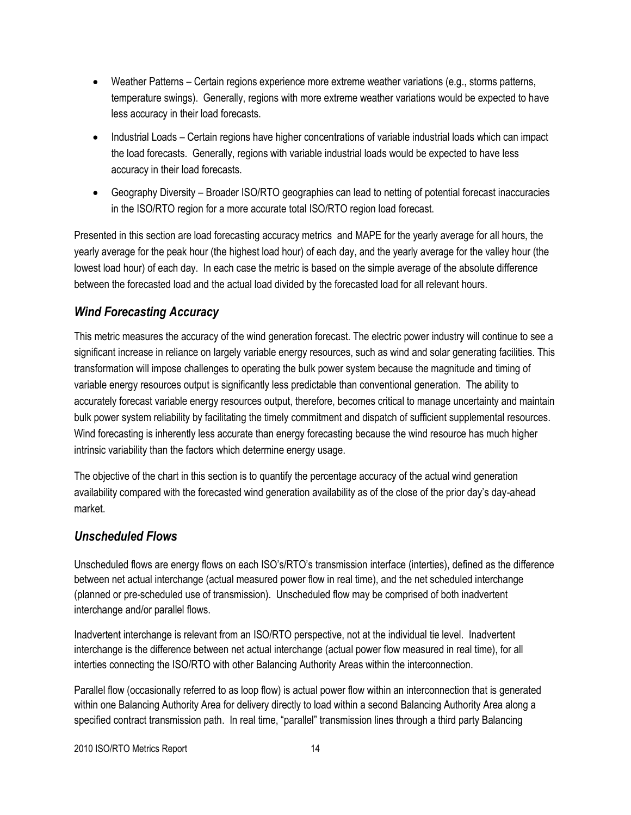- Weather Patterns Certain regions experience more extreme weather variations (e.g., storms patterns, temperature swings). Generally, regions with more extreme weather variations would be expected to have less accuracy in their load forecasts.
- Industrial Loads Certain regions have higher concentrations of variable industrial loads which can impact the load forecasts. Generally, regions with variable industrial loads would be expected to have less accuracy in their load forecasts.
- Geography Diversity Broader ISO/RTO geographies can lead to netting of potential forecast inaccuracies in the ISO/RTO region for a more accurate total ISO/RTO region load forecast.

Presented in this section are load forecasting accuracy metrics and MAPE for the yearly average for all hours, the yearly average for the peak hour (the highest load hour) of each day, and the yearly average for the valley hour (the lowest load hour) of each day. In each case the metric is based on the simple average of the absolute difference between the forecasted load and the actual load divided by the forecasted load for all relevant hours.

# *Wind Forecasting Accuracy*

This metric measures the accuracy of the wind generation forecast. The electric power industry will continue to see a significant increase in reliance on largely variable energy resources, such as wind and solar generating facilities. This transformation will impose challenges to operating the bulk power system because the magnitude and timing of variable energy resources output is significantly less predictable than conventional generation. The ability to accurately forecast variable energy resources output, therefore, becomes critical to manage uncertainty and maintain bulk power system reliability by facilitating the timely commitment and dispatch of sufficient supplemental resources. Wind forecasting is inherently less accurate than energy forecasting because the wind resource has much higher intrinsic variability than the factors which determine energy usage.

The objective of the chart in this section is to quantify the percentage accuracy of the actual wind generation availability compared with the forecasted wind generation availability as of the close of the prior day's day-ahead market.

### *Unscheduled Flows*

Unscheduled flows are energy flows on each ISO's/RTO's transmission interface (interties), defined as the difference between net actual interchange (actual measured power flow in real time), and the net scheduled interchange (planned or pre-scheduled use of transmission). Unscheduled flow may be comprised of both inadvertent interchange and/or parallel flows.

Inadvertent interchange is relevant from an ISO/RTO perspective, not at the individual tie level. Inadvertent interchange is the difference between net actual interchange (actual power flow measured in real time), for all interties connecting the ISO/RTO with other Balancing Authority Areas within the interconnection.

Parallel flow (occasionally referred to as loop flow) is actual power flow within an interconnection that is generated within one Balancing Authority Area for delivery directly to load within a second Balancing Authority Area along a specified contract transmission path. In real time, "parallel" transmission lines through a third party Balancing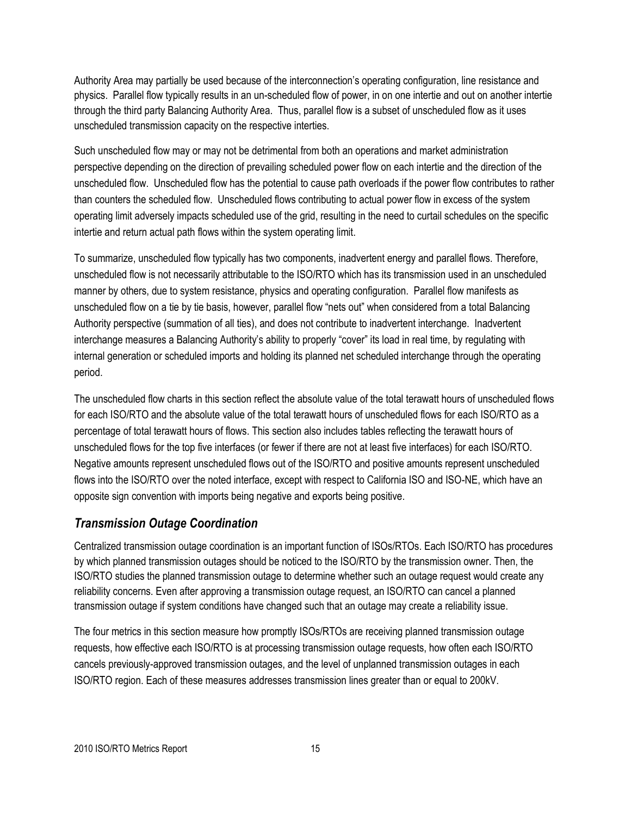Authority Area may partially be used because of the interconnection's operating configuration, line resistance and physics. Parallel flow typically results in an un-scheduled flow of power, in on one intertie and out on another intertie through the third party Balancing Authority Area. Thus, parallel flow is a subset of unscheduled flow as it uses unscheduled transmission capacity on the respective interties.

Such unscheduled flow may or may not be detrimental from both an operations and market administration perspective depending on the direction of prevailing scheduled power flow on each intertie and the direction of the unscheduled flow. Unscheduled flow has the potential to cause path overloads if the power flow contributes to rather than counters the scheduled flow. Unscheduled flows contributing to actual power flow in excess of the system operating limit adversely impacts scheduled use of the grid, resulting in the need to curtail schedules on the specific intertie and return actual path flows within the system operating limit.

To summarize, unscheduled flow typically has two components, inadvertent energy and parallel flows. Therefore, unscheduled flow is not necessarily attributable to the ISO/RTO which has its transmission used in an unscheduled manner by others, due to system resistance, physics and operating configuration. Parallel flow manifests as unscheduled flow on a tie by tie basis, however, parallel flow "nets out" when considered from a total Balancing Authority perspective (summation of all ties), and does not contribute to inadvertent interchange. Inadvertent interchange measures a Balancing Authority's ability to properly "cover" its load in real time, by regulating with internal generation or scheduled imports and holding its planned net scheduled interchange through the operating period.

The unscheduled flow charts in this section reflect the absolute value of the total terawatt hours of unscheduled flows for each ISO/RTO and the absolute value of the total terawatt hours of unscheduled flows for each ISO/RTO as a percentage of total terawatt hours of flows. This section also includes tables reflecting the terawatt hours of unscheduled flows for the top five interfaces (or fewer if there are not at least five interfaces) for each ISO/RTO. Negative amounts represent unscheduled flows out of the ISO/RTO and positive amounts represent unscheduled flows into the ISO/RTO over the noted interface, except with respect to California ISO and ISO-NE, which have an opposite sign convention with imports being negative and exports being positive.

### *Transmission Outage Coordination*

Centralized transmission outage coordination is an important function of ISOs/RTOs. Each ISO/RTO has procedures by which planned transmission outages should be noticed to the ISO/RTO by the transmission owner. Then, the ISO/RTO studies the planned transmission outage to determine whether such an outage request would create any reliability concerns. Even after approving a transmission outage request, an ISO/RTO can cancel a planned transmission outage if system conditions have changed such that an outage may create a reliability issue.

The four metrics in this section measure how promptly ISOs/RTOs are receiving planned transmission outage requests, how effective each ISO/RTO is at processing transmission outage requests, how often each ISO/RTO cancels previously-approved transmission outages, and the level of unplanned transmission outages in each ISO/RTO region. Each of these measures addresses transmission lines greater than or equal to 200kV.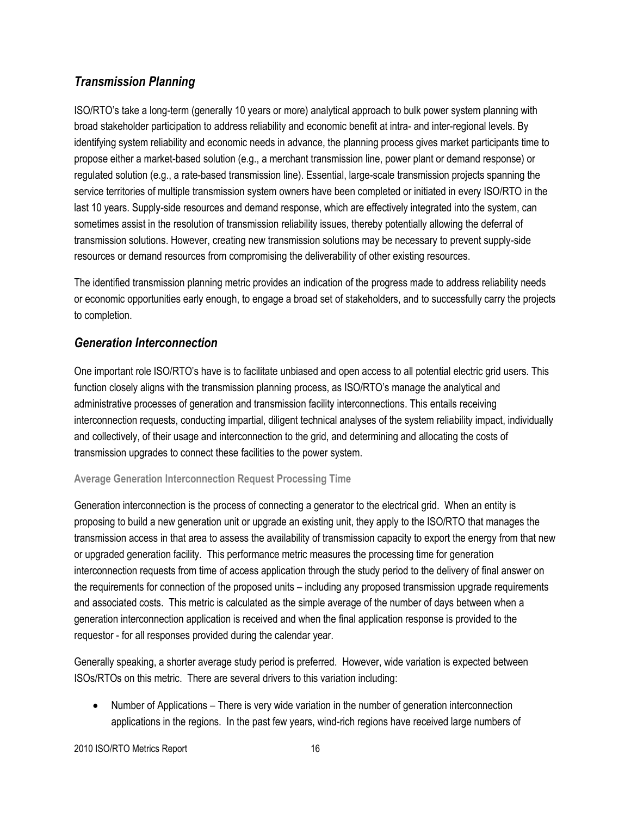# *Transmission Planning*

ISO/RTO's take a long-term (generally 10 years or more) analytical approach to bulk power system planning with broad stakeholder participation to address reliability and economic benefit at intra- and inter-regional levels. By identifying system reliability and economic needs in advance, the planning process gives market participants time to propose either a market-based solution (e.g., a merchant transmission line, power plant or demand response) or regulated solution (e.g., a rate-based transmission line). Essential, large-scale transmission projects spanning the service territories of multiple transmission system owners have been completed or initiated in every ISO/RTO in the last 10 years. Supply-side resources and demand response, which are effectively integrated into the system, can sometimes assist in the resolution of transmission reliability issues, thereby potentially allowing the deferral of transmission solutions. However, creating new transmission solutions may be necessary to prevent supply-side resources or demand resources from compromising the deliverability of other existing resources.

The identified transmission planning metric provides an indication of the progress made to address reliability needs or economic opportunities early enough, to engage a broad set of stakeholders, and to successfully carry the projects to completion.

### *Generation Interconnection*

One important role ISO/RTO's have is to facilitate unbiased and open access to all potential electric grid users. This function closely aligns with the transmission planning process, as ISO/RTO's manage the analytical and administrative processes of generation and transmission facility interconnections. This entails receiving interconnection requests, conducting impartial, diligent technical analyses of the system reliability impact, individually and collectively, of their usage and interconnection to the grid, and determining and allocating the costs of transmission upgrades to connect these facilities to the power system.

#### **Average Generation Interconnection Request Processing Time**

Generation interconnection is the process of connecting a generator to the electrical grid. When an entity is proposing to build a new generation unit or upgrade an existing unit, they apply to the ISO/RTO that manages the transmission access in that area to assess the availability of transmission capacity to export the energy from that new or upgraded generation facility. This performance metric measures the processing time for generation interconnection requests from time of access application through the study period to the delivery of final answer on the requirements for connection of the proposed units – including any proposed transmission upgrade requirements and associated costs. This metric is calculated as the simple average of the number of days between when a generation interconnection application is received and when the final application response is provided to the requestor - for all responses provided during the calendar year.

Generally speaking, a shorter average study period is preferred. However, wide variation is expected between ISOs/RTOs on this metric. There are several drivers to this variation including:

 Number of Applications – There is very wide variation in the number of generation interconnection applications in the regions. In the past few years, wind-rich regions have received large numbers of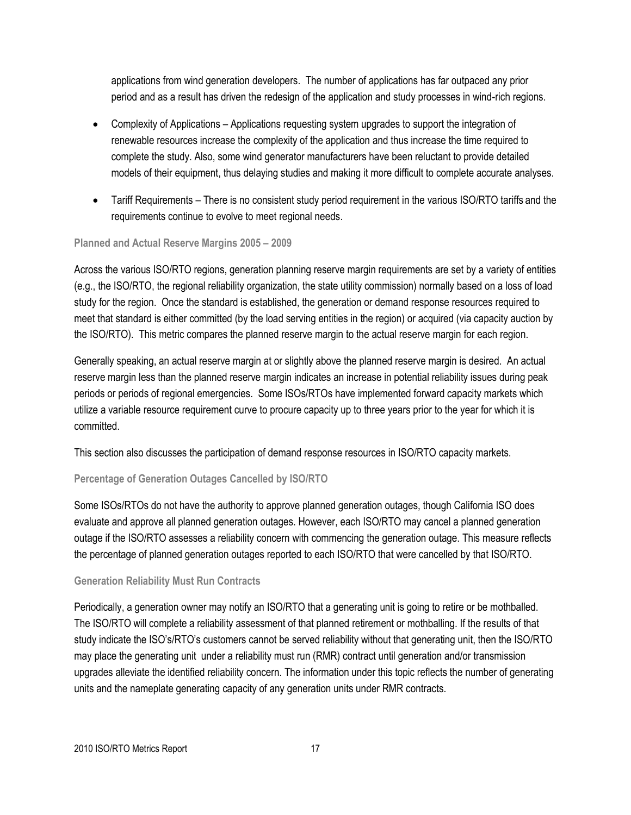applications from wind generation developers. The number of applications has far outpaced any prior period and as a result has driven the redesign of the application and study processes in wind-rich regions.

- Complexity of Applications Applications requesting system upgrades to support the integration of renewable resources increase the complexity of the application and thus increase the time required to complete the study. Also, some wind generator manufacturers have been reluctant to provide detailed models of their equipment, thus delaying studies and making it more difficult to complete accurate analyses.
- Tariff Requirements There is no consistent study period requirement in the various ISO/RTO tariffs and the requirements continue to evolve to meet regional needs.

#### **Planned and Actual Reserve Margins 2005 – 2009**

Across the various ISO/RTO regions, generation planning reserve margin requirements are set by a variety of entities (e.g., the ISO/RTO, the regional reliability organization, the state utility commission) normally based on a loss of load study for the region. Once the standard is established, the generation or demand response resources required to meet that standard is either committed (by the load serving entities in the region) or acquired (via capacity auction by the ISO/RTO). This metric compares the planned reserve margin to the actual reserve margin for each region.

Generally speaking, an actual reserve margin at or slightly above the planned reserve margin is desired. An actual reserve margin less than the planned reserve margin indicates an increase in potential reliability issues during peak periods or periods of regional emergencies. Some ISOs/RTOs have implemented forward capacity markets which utilize a variable resource requirement curve to procure capacity up to three years prior to the year for which it is committed.

This section also discusses the participation of demand response resources in ISO/RTO capacity markets.

#### **Percentage of Generation Outages Cancelled by ISO/RTO**

Some ISOs/RTOs do not have the authority to approve planned generation outages, though California ISO does evaluate and approve all planned generation outages. However, each ISO/RTO may cancel a planned generation outage if the ISO/RTO assesses a reliability concern with commencing the generation outage. This measure reflects the percentage of planned generation outages reported to each ISO/RTO that were cancelled by that ISO/RTO.

#### **Generation Reliability Must Run Contracts**

Periodically, a generation owner may notify an ISO/RTO that a generating unit is going to retire or be mothballed. The ISO/RTO will complete a reliability assessment of that planned retirement or mothballing. If the results of that study indicate the ISO's/RTO's customers cannot be served reliability without that generating unit, then the ISO/RTO may place the generating unit under a reliability must run (RMR) contract until generation and/or transmission upgrades alleviate the identified reliability concern. The information under this topic reflects the number of generating units and the nameplate generating capacity of any generation units under RMR contracts.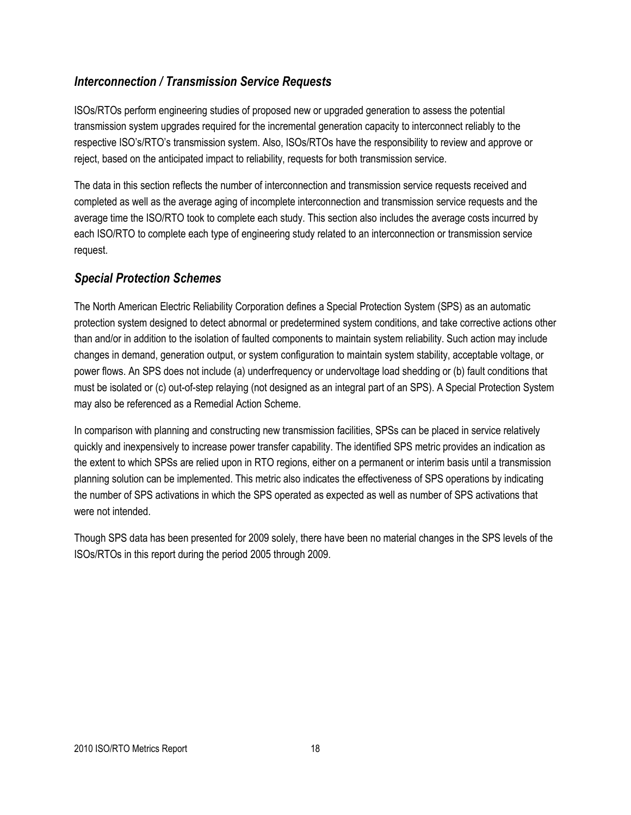# *Interconnection / Transmission Service Requests*

ISOs/RTOs perform engineering studies of proposed new or upgraded generation to assess the potential transmission system upgrades required for the incremental generation capacity to interconnect reliably to the respective ISO's/RTO's transmission system. Also, ISOs/RTOs have the responsibility to review and approve or reject, based on the anticipated impact to reliability, requests for both transmission service.

The data in this section reflects the number of interconnection and transmission service requests received and completed as well as the average aging of incomplete interconnection and transmission service requests and the average time the ISO/RTO took to complete each study. This section also includes the average costs incurred by each ISO/RTO to complete each type of engineering study related to an interconnection or transmission service request.

# *Special Protection Schemes*

The North American Electric Reliability Corporation defines a Special Protection System (SPS) as an automatic protection system designed to detect abnormal or predetermined system conditions, and take corrective actions other than and/or in addition to the isolation of faulted components to maintain system reliability. Such action may include changes in demand, generation output, or system configuration to maintain system stability, acceptable voltage, or power flows. An SPS does not include (a) underfrequency or undervoltage load shedding or (b) fault conditions that must be isolated or (c) out-of-step relaying (not designed as an integral part of an SPS). A Special Protection System may also be referenced as a Remedial Action Scheme.

In comparison with planning and constructing new transmission facilities, SPSs can be placed in service relatively quickly and inexpensively to increase power transfer capability. The identified SPS metric provides an indication as the extent to which SPSs are relied upon in RTO regions, either on a permanent or interim basis until a transmission planning solution can be implemented. This metric also indicates the effectiveness of SPS operations by indicating the number of SPS activations in which the SPS operated as expected as well as number of SPS activations that were not intended.

Though SPS data has been presented for 2009 solely, there have been no material changes in the SPS levels of the ISOs/RTOs in this report during the period 2005 through 2009.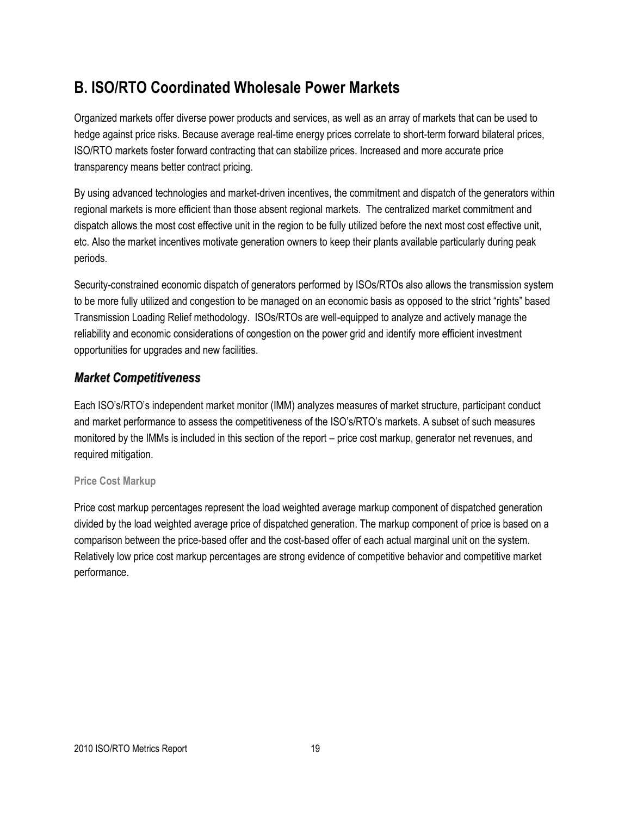# **B. ISO/RTO Coordinated Wholesale Power Markets**

Organized markets offer diverse power products and services, as well as an array of markets that can be used to hedge against price risks. Because average real-time energy prices correlate to short-term forward bilateral prices, ISO/RTO markets foster forward contracting that can stabilize prices. Increased and more accurate price transparency means better contract pricing.

By using advanced technologies and market-driven incentives, the commitment and dispatch of the generators within regional markets is more efficient than those absent regional markets. The centralized market commitment and dispatch allows the most cost effective unit in the region to be fully utilized before the next most cost effective unit, etc. Also the market incentives motivate generation owners to keep their plants available particularly during peak periods.

Security-constrained economic dispatch of generators performed by ISOs/RTOs also allows the transmission system to be more fully utilized and congestion to be managed on an economic basis as opposed to the strict "rights" based Transmission Loading Relief methodology. ISOs/RTOs are well-equipped to analyze and actively manage the reliability and economic considerations of congestion on the power grid and identify more efficient investment opportunities for upgrades and new facilities.

### *Market Competitiveness*

Each ISO's/RTO's independent market monitor (IMM) analyzes measures of market structure, participant conduct and market performance to assess the competitiveness of the ISO's/RTO's markets. A subset of such measures monitored by the IMMs is included in this section of the report – price cost markup, generator net revenues, and required mitigation.

#### **Price Cost Markup**

Price cost markup percentages represent the load weighted average markup component of dispatched generation divided by the load weighted average price of dispatched generation. The markup component of price is based on a comparison between the price-based offer and the cost-based offer of each actual marginal unit on the system. Relatively low price cost markup percentages are strong evidence of competitive behavior and competitive market performance.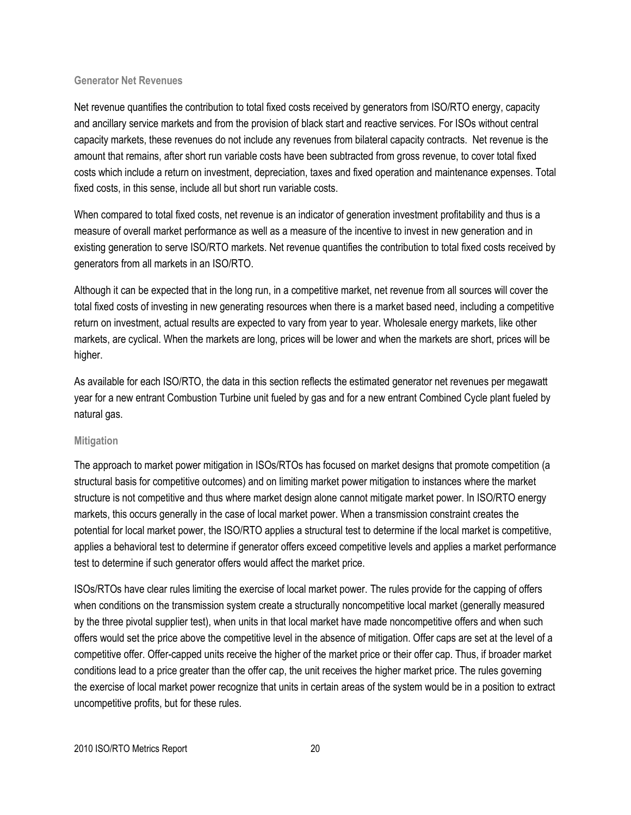#### **Generator Net Revenues**

Net revenue quantifies the contribution to total fixed costs received by generators from ISO/RTO energy, capacity and ancillary service markets and from the provision of black start and reactive services. For ISOs without central capacity markets, these revenues do not include any revenues from bilateral capacity contracts. Net revenue is the amount that remains, after short run variable costs have been subtracted from gross revenue, to cover total fixed costs which include a return on investment, depreciation, taxes and fixed operation and maintenance expenses. Total fixed costs, in this sense, include all but short run variable costs.

When compared to total fixed costs, net revenue is an indicator of generation investment profitability and thus is a measure of overall market performance as well as a measure of the incentive to invest in new generation and in existing generation to serve ISO/RTO markets. Net revenue quantifies the contribution to total fixed costs received by generators from all markets in an ISO/RTO.

Although it can be expected that in the long run, in a competitive market, net revenue from all sources will cover the total fixed costs of investing in new generating resources when there is a market based need, including a competitive return on investment, actual results are expected to vary from year to year. Wholesale energy markets, like other markets, are cyclical. When the markets are long, prices will be lower and when the markets are short, prices will be higher.

As available for each ISO/RTO, the data in this section reflects the estimated generator net revenues per megawatt year for a new entrant Combustion Turbine unit fueled by gas and for a new entrant Combined Cycle plant fueled by natural gas.

#### **Mitigation**

The approach to market power mitigation in ISOs/RTOs has focused on market designs that promote competition (a structural basis for competitive outcomes) and on limiting market power mitigation to instances where the market structure is not competitive and thus where market design alone cannot mitigate market power. In ISO/RTO energy markets, this occurs generally in the case of local market power. When a transmission constraint creates the potential for local market power, the ISO/RTO applies a structural test to determine if the local market is competitive, applies a behavioral test to determine if generator offers exceed competitive levels and applies a market performance test to determine if such generator offers would affect the market price.

ISOs/RTOs have clear rules limiting the exercise of local market power. The rules provide for the capping of offers when conditions on the transmission system create a structurally noncompetitive local market (generally measured by the three pivotal supplier test), when units in that local market have made noncompetitive offers and when such offers would set the price above the competitive level in the absence of mitigation. Offer caps are set at the level of a competitive offer. Offer-capped units receive the higher of the market price or their offer cap. Thus, if broader market conditions lead to a price greater than the offer cap, the unit receives the higher market price. The rules governing the exercise of local market power recognize that units in certain areas of the system would be in a position to extract uncompetitive profits, but for these rules.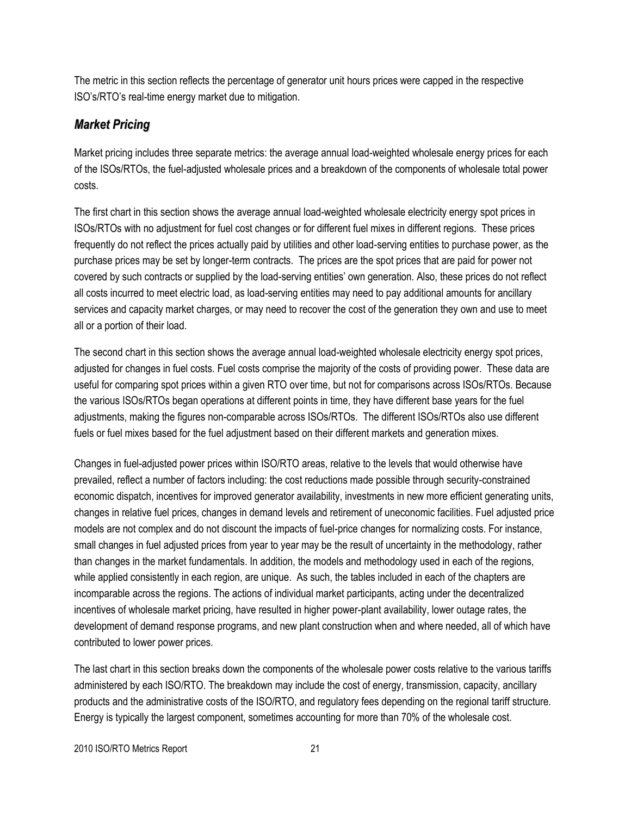The metric in this section reflects the percentage of generator unit hours prices were capped in the respective ISO's/RTO's real-time energy market due to mitigation.

# *Market Pricing*

Market pricing includes three separate metrics: the average annual load-weighted wholesale energy prices for each of the ISOs/RTOs, the fuel-adjusted wholesale prices and a breakdown of the components of wholesale total power costs.

The first chart in this section shows the average annual load-weighted wholesale electricity energy spot prices in ISOs/RTOs with no adjustment for fuel cost changes or for different fuel mixes in different regions. These prices frequently do not reflect the prices actually paid by utilities and other load-serving entities to purchase power, as the purchase prices may be set by longer-term contracts. The prices are the spot prices that are paid for power not covered by such contracts or supplied by the load-serving entities' own generation. Also, these prices do not reflect all costs incurred to meet electric load, as load-serving entities may need to pay additional amounts for ancillary services and capacity market charges, or may need to recover the cost of the generation they own and use to meet all or a portion of their load.

The second chart in this section shows the average annual load-weighted wholesale electricity energy spot prices, adjusted for changes in fuel costs. Fuel costs comprise the majority of the costs of providing power. These data are useful for comparing spot prices within a given RTO over time, but not for comparisons across ISOs/RTOs. Because the various ISOs/RTOs began operations at different points in time, they have different base years for the fuel adjustments, making the figures non-comparable across ISOs/RTOs. The different ISOs/RTOs also use different fuels or fuel mixes based for the fuel adjustment based on their different markets and generation mixes.

Changes in fuel-adjusted power prices within ISO/RTO areas, relative to the levels that would otherwise have prevailed, reflect a number of factors including: the cost reductions made possible through security-constrained economic dispatch, incentives for improved generator availability, investments in new more efficient generating units, changes in relative fuel prices, changes in demand levels and retirement of uneconomic facilities. Fuel adjusted price models are not complex and do not discount the impacts of fuel-price changes for normalizing costs. For instance, small changes in fuel adjusted prices from year to year may be the result of uncertainty in the methodology, rather than changes in the market fundamentals. In addition, the models and methodology used in each of the regions, while applied consistently in each region, are unique. As such, the tables included in each of the chapters are incomparable across the regions. The actions of individual market participants, acting under the decentralized incentives of wholesale market pricing, have resulted in higher power-plant availability, lower outage rates, the development of demand response programs, and new plant construction when and where needed, all of which have contributed to lower power prices.

The last chart in this section breaks down the components of the wholesale power costs relative to the various tariffs administered by each ISO/RTO. The breakdown may include the cost of energy, transmission, capacity, ancillary products and the administrative costs of the ISO/RTO, and regulatory fees depending on the regional tariff structure. Energy is typically the largest component, sometimes accounting for more than 70% of the wholesale cost.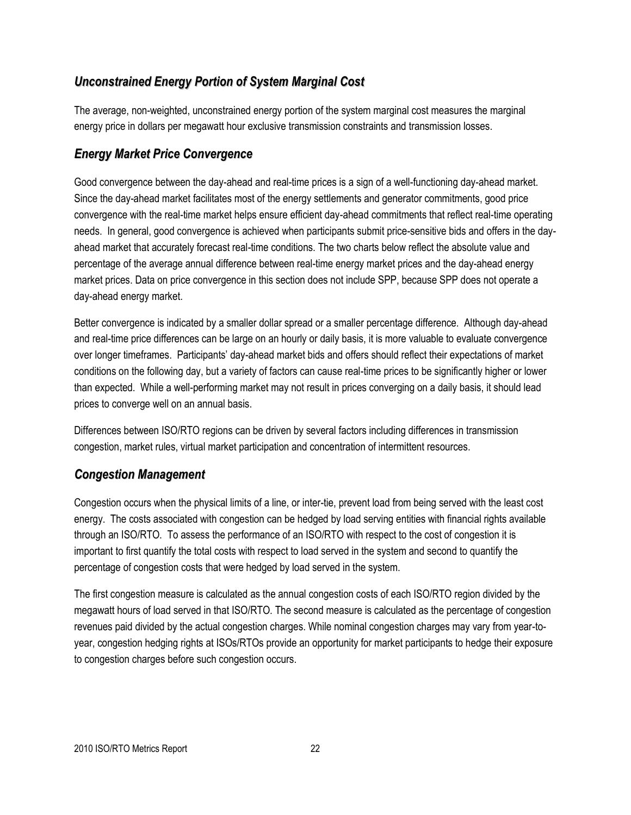# *Unconstrained Energy Portion of System Marginal Cost*

The average, non-weighted, unconstrained energy portion of the system marginal cost measures the marginal energy price in dollars per megawatt hour exclusive transmission constraints and transmission losses.

# *Energy Market Price Convergence*

Good convergence between the day-ahead and real-time prices is a sign of a well-functioning day-ahead market. Since the day-ahead market facilitates most of the energy settlements and generator commitments, good price convergence with the real-time market helps ensure efficient day-ahead commitments that reflect real-time operating needs. In general, good convergence is achieved when participants submit price-sensitive bids and offers in the dayahead market that accurately forecast real-time conditions. The two charts below reflect the absolute value and percentage of the average annual difference between real-time energy market prices and the day-ahead energy market prices. Data on price convergence in this section does not include SPP, because SPP does not operate a day-ahead energy market.

Better convergence is indicated by a smaller dollar spread or a smaller percentage difference. Although day-ahead and real-time price differences can be large on an hourly or daily basis, it is more valuable to evaluate convergence over longer timeframes. Participants' day-ahead market bids and offers should reflect their expectations of market conditions on the following day, but a variety of factors can cause real-time prices to be significantly higher or lower than expected. While a well-performing market may not result in prices converging on a daily basis, it should lead prices to converge well on an annual basis.

Differences between ISO/RTO regions can be driven by several factors including differences in transmission congestion, market rules, virtual market participation and concentration of intermittent resources.

### *Congestion Management*

Congestion occurs when the physical limits of a line, or inter-tie, prevent load from being served with the least cost energy. The costs associated with congestion can be hedged by load serving entities with financial rights available through an ISO/RTO. To assess the performance of an ISO/RTO with respect to the cost of congestion it is important to first quantify the total costs with respect to load served in the system and second to quantify the percentage of congestion costs that were hedged by load served in the system.

The first congestion measure is calculated as the annual congestion costs of each ISO/RTO region divided by the megawatt hours of load served in that ISO/RTO. The second measure is calculated as the percentage of congestion revenues paid divided by the actual congestion charges. While nominal congestion charges may vary from year-toyear, congestion hedging rights at ISOs/RTOs provide an opportunity for market participants to hedge their exposure to congestion charges before such congestion occurs.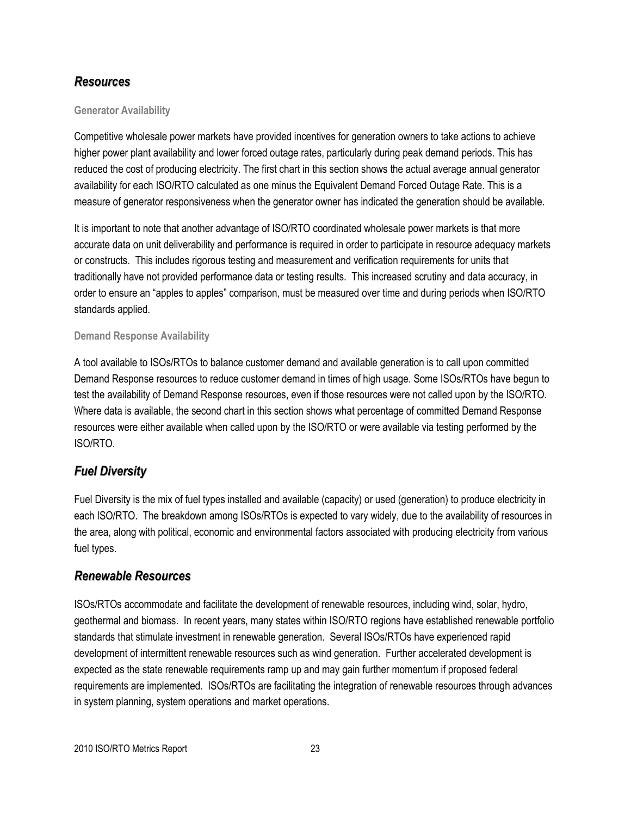#### *Resources*

#### **Generator Availability**

Competitive wholesale power markets have provided incentives for generation owners to take actions to achieve higher power plant availability and lower forced outage rates, particularly during peak demand periods. This has reduced the cost of producing electricity. The first chart in this section shows the actual average annual generator availability for each ISO/RTO calculated as one minus the Equivalent Demand Forced Outage Rate. This is a measure of generator responsiveness when the generator owner has indicated the generation should be available.

It is important to note that another advantage of ISO/RTO coordinated wholesale power markets is that more accurate data on unit deliverability and performance is required in order to participate in resource adequacy markets or constructs. This includes rigorous testing and measurement and verification requirements for units that traditionally have not provided performance data or testing results. This increased scrutiny and data accuracy, in order to ensure an "apples to apples" comparison, must be measured over time and during periods when ISO/RTO standards applied.

#### **Demand Response Availability**

A tool available to ISOs/RTOs to balance customer demand and available generation is to call upon committed Demand Response resources to reduce customer demand in times of high usage. Some ISOs/RTOs have begun to test the availability of Demand Response resources, even if those resources were not called upon by the ISO/RTO. Where data is available, the second chart in this section shows what percentage of committed Demand Response resources were either available when called upon by the ISO/RTO or were available via testing performed by the ISO/RTO.

#### *Fuel Diversity*

Fuel Diversity is the mix of fuel types installed and available (capacity) or used (generation) to produce electricity in each ISO/RTO. The breakdown among ISOs/RTOs is expected to vary widely, due to the availability of resources in the area, along with political, economic and environmental factors associated with producing electricity from various fuel types.

#### *Renewable Resources*

ISOs/RTOs accommodate and facilitate the development of renewable resources, including wind, solar, hydro, geothermal and biomass. In recent years, many states within ISO/RTO regions have established renewable portfolio standards that stimulate investment in renewable generation. Several ISOs/RTOs have experienced rapid development of intermittent renewable resources such as wind generation. Further accelerated development is expected as the state renewable requirements ramp up and may gain further momentum if proposed federal requirements are implemented. ISOs/RTOs are facilitating the integration of renewable resources through advances in system planning, system operations and market operations.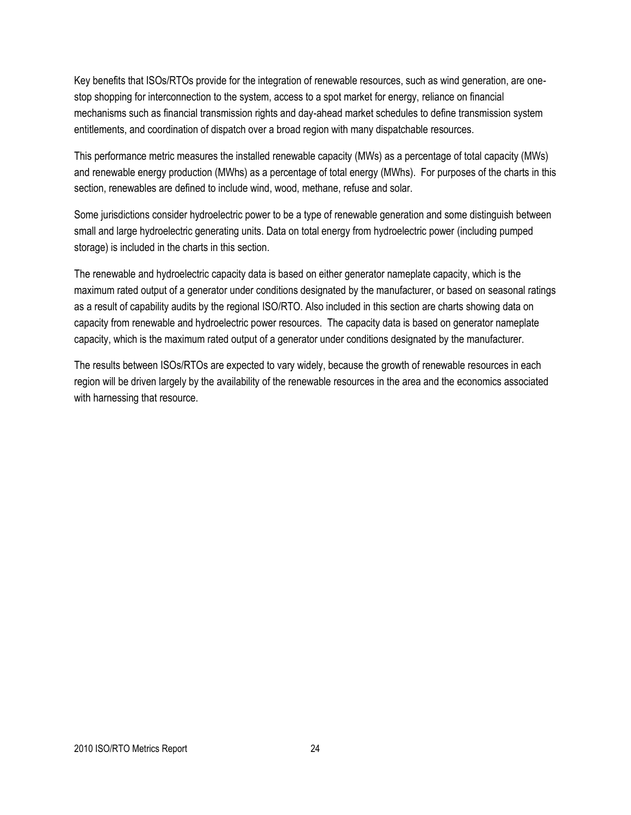Key benefits that ISOs/RTOs provide for the integration of renewable resources, such as wind generation, are onestop shopping for interconnection to the system, access to a spot market for energy, reliance on financial mechanisms such as financial transmission rights and day-ahead market schedules to define transmission system entitlements, and coordination of dispatch over a broad region with many dispatchable resources.

This performance metric measures the installed renewable capacity (MWs) as a percentage of total capacity (MWs) and renewable energy production (MWhs) as a percentage of total energy (MWhs). For purposes of the charts in this section, renewables are defined to include wind, wood, methane, refuse and solar.

Some jurisdictions consider hydroelectric power to be a type of renewable generation and some distinguish between small and large hydroelectric generating units. Data on total energy from hydroelectric power (including pumped storage) is included in the charts in this section.

The renewable and hydroelectric capacity data is based on either generator nameplate capacity, which is the maximum rated output of a generator under conditions designated by the manufacturer, or based on seasonal ratings as a result of capability audits by the regional ISO/RTO. Also included in this section are charts showing data on capacity from renewable and hydroelectric power resources. The capacity data is based on generator nameplate capacity, which is the maximum rated output of a generator under conditions designated by the manufacturer.

The results between ISOs/RTOs are expected to vary widely, because the growth of renewable resources in each region will be driven largely by the availability of the renewable resources in the area and the economics associated with harnessing that resource.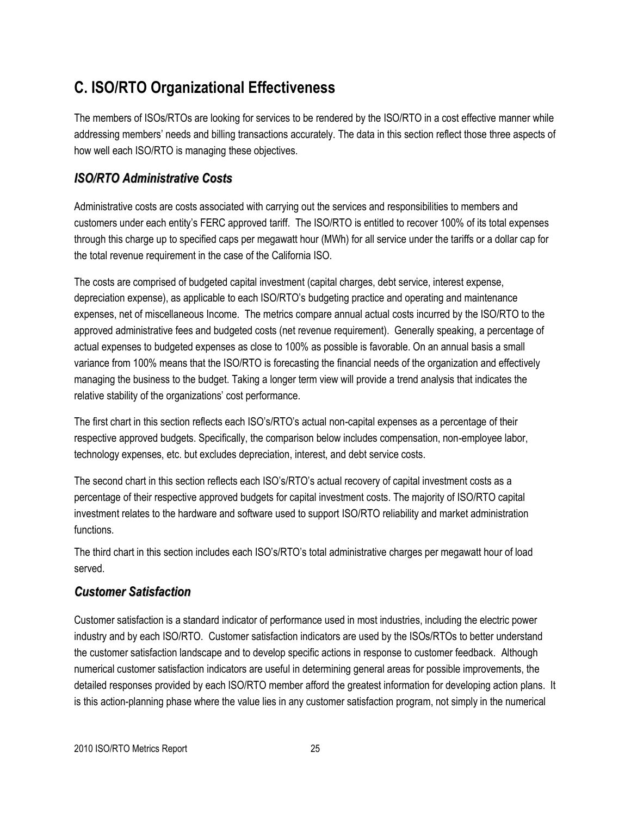# **C. ISO/RTO Organizational Effectiveness**

The members of ISOs/RTOs are looking for services to be rendered by the ISO/RTO in a cost effective manner while addressing members' needs and billing transactions accurately. The data in this section reflect those three aspects of how well each ISO/RTO is managing these objectives.

# *ISO/RTO Administrative Costs*

Administrative costs are costs associated with carrying out the services and responsibilities to members and customers under each entity's FERC approved tariff. The ISO/RTO is entitled to recover 100% of its total expenses through this charge up to specified caps per megawatt hour (MWh) for all service under the tariffs or a dollar cap for the total revenue requirement in the case of the California ISO.

The costs are comprised of budgeted capital investment (capital charges, debt service, interest expense, depreciation expense), as applicable to each ISO/RTO's budgeting practice and operating and maintenance expenses, net of miscellaneous Income. The metrics compare annual actual costs incurred by the ISO/RTO to the approved administrative fees and budgeted costs (net revenue requirement). Generally speaking, a percentage of actual expenses to budgeted expenses as close to 100% as possible is favorable. On an annual basis a small variance from 100% means that the ISO/RTO is forecasting the financial needs of the organization and effectively managing the business to the budget. Taking a longer term view will provide a trend analysis that indicates the relative stability of the organizations' cost performance.

The first chart in this section reflects each ISO's/RTO's actual non-capital expenses as a percentage of their respective approved budgets. Specifically, the comparison below includes compensation, non-employee labor, technology expenses, etc. but excludes depreciation, interest, and debt service costs.

The second chart in this section reflects each ISO's/RTO's actual recovery of capital investment costs as a percentage of their respective approved budgets for capital investment costs. The majority of ISO/RTO capital investment relates to the hardware and software used to support ISO/RTO reliability and market administration functions.

The third chart in this section includes each ISO's/RTO's total administrative charges per megawatt hour of load served.

# *Customer Satisfaction*

Customer satisfaction is a standard indicator of performance used in most industries, including the electric power industry and by each ISO/RTO. Customer satisfaction indicators are used by the ISOs/RTOs to better understand the customer satisfaction landscape and to develop specific actions in response to customer feedback. Although numerical customer satisfaction indicators are useful in determining general areas for possible improvements, the detailed responses provided by each ISO/RTO member afford the greatest information for developing action plans. It is this action-planning phase where the value lies in any customer satisfaction program, not simply in the numerical